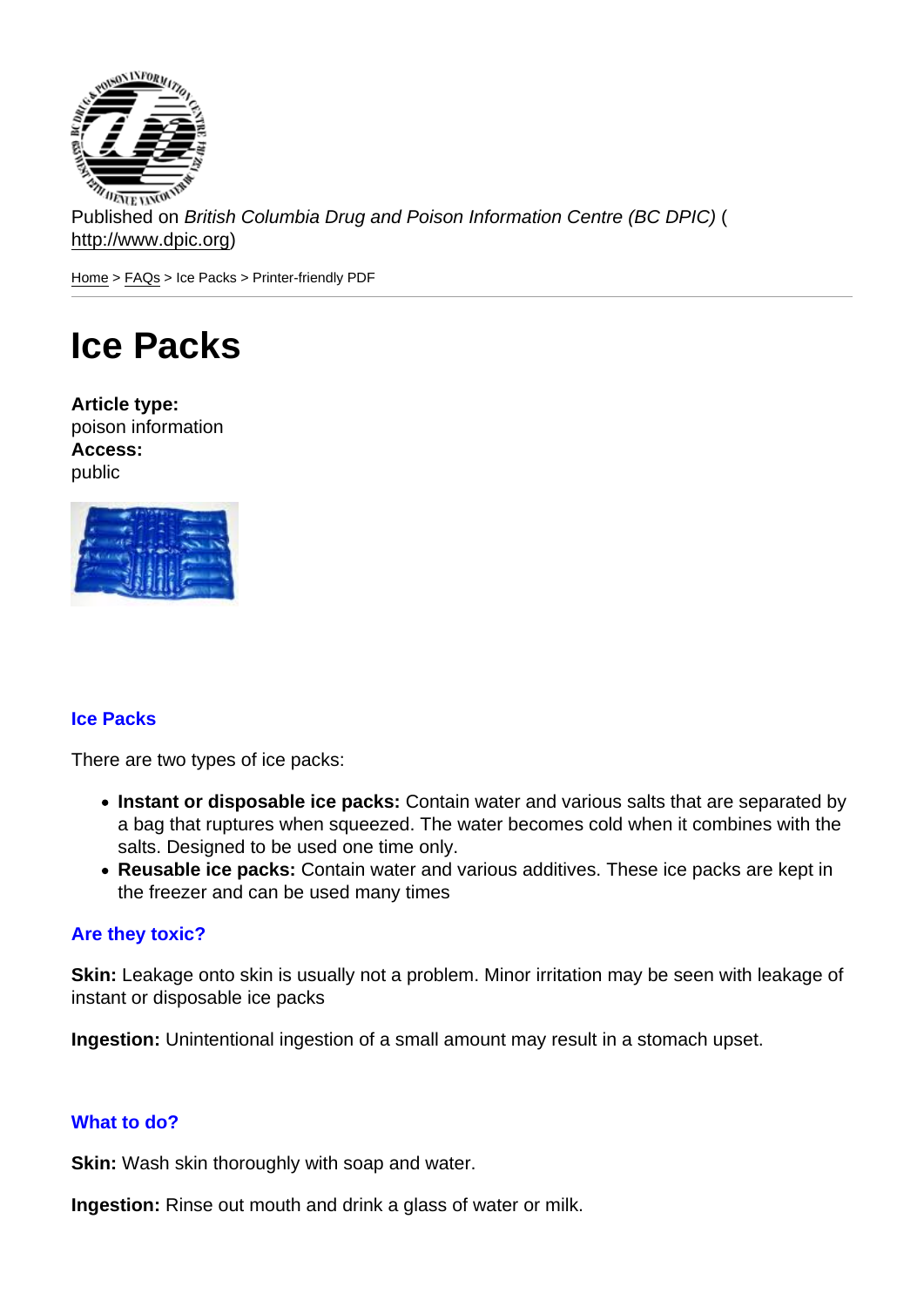Published on British Columbia Drug and Poison Information Centre (BC DPIC) ( http://www.dpic.org)

Home > FAQs > Ice Packs > Printer-friendly PDF

## [Ice](http://www.dpic.org/) [Pa](http://www.dpic.org/faq)cks

Article type: poison information Access: public

## Ice Packs

There are two types of ice packs:

- Instant or disposable ice packs: Contain water and various salts that are separated by a bag that ruptures when squeezed. The water becomes cold when it combines with the salts. Designed to be used one time only.
- Reusable ice packs: Contain water and various additives. These ice packs are kept in the freezer and can be used many times

## Are they toxic?

Skin: Leakage onto skin is usually not a problem. Minor irritation may be seen with leakage of instant or disposable ice packs

Ingestion: Unintentional ingestion of a small amount may result in a stomach upset.

## What to do?

Skin: Wash skin thoroughly with soap and water.

Ingestion: Rinse out mouth and drink a glass of water or milk.